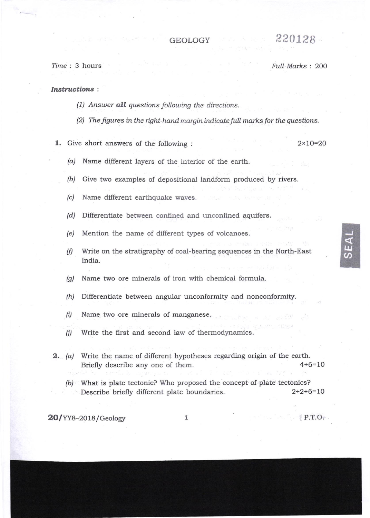## GEOLOGY  $220128$

Iime : 3 hours Full Marks : 2OO

## Instructions :

- $(1)$  Answer all questions following the directions.
- $(2)$  The figures in the right-hand margin indicate full marks for the questions.

1. Give short answers of the following : 2×10=20

IIJ @

- $(a)$  Name different layers of the interior of the earth.
- $(b)$  Give two examples of depositional landform produced by rivers.
- (c) Name different earthquake waves.
- (d) Differentiate between confined and unconfined aquifers.
- (e) Mention the name of different types of volcanoes.
- (f) Write on the stratigraphy of coal-bearing sequences in the North-East India.
- (g) Name two ore minerals of iron with chemical formula.
- $(h)$  Differentiate between angular unconformity and nonconformity.
- $(i)$  Name two ore minerals of manganese.
- $(i)$  Write the first and second law of thermodynamics.
- 2. (a) Wite the name of different hypotheses regarding origin of the earth. Briefly describe any one of them. 4+6=10
	- (b) What is plate tectonic? Who proposed the concept of plate tectonics? Describe briefly different plate boundaries. 2+2+6=10

 $20$ /YY8-2018/Geology 1 [P.T.O.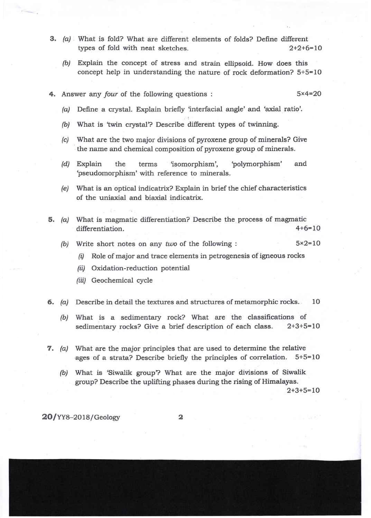- 3. (a) What is fold? What are different elements of folds? Define different types of fold with neat sketches.  $2+2+6=10$ types of fold with neat sketches.
	- (b) Explain the concept of stress and strain ellipsoid. How does this concept help in understanding the nature of rock deformation?  $5+5=10$
- 4. Answer any four of the following questions :  $5 \times 4 = 20$ 
	- $(a)$  Define a crystal. Explain briefly 'interfacial angle' and 'axial ratio'.
	- (b) What is 'twin crystal'? Describe different types of twinning.
	- (c) What are the two major divisions of pyroxene group of minerals? Give the name and chemical composition of pyroxene group of minerals.
	- /d/ Explain the terms lsomorphism', 'polymorphism' and 'pseudomorphism' with reference to minerals.
	- (e) What is an optical indicatrix? Explain in brief the chief characteristics of the uniaxial and biaxial indicatrix.
- 5. (a) What is magmatic differentiation? Describe the process of magmatic differentiation.  $4+6=10$ 
	- (b) Write short notes on any two of the following :  $5 \times 2 = 10$ 
		- (i) Role of major and trace elements in petrogenesis of igneous rocks
		- /ii/ Oxidation-reduction potential
		- (iii) Geochemical cycle
- 6. (a) Describe in detail the textures and structures of metamorphic rocks.  $10$ 
	- (b) What is a sedimentary rock? What are the classifications of sedimentary rocks? Give a brief description of each class. 2+3+5=10
- 7. (a) What are the major principles that are used to determine the relative ages of a strata? Describe briefly the principles of correlation. 5+5=10
	- (b) What is 'Siwalik group? What are the major divisions of Siwalik group? Describe the uplifting phases during the rising of Himalayas.  $2+3+5=10$

 $20$ /YY8-2018/Geology 2